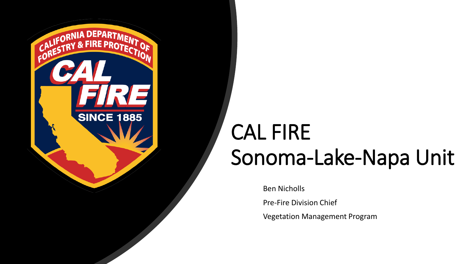

# CAL FIRE Sonoma-Lake-Napa Unit

Ben Nicholls

Pre-Fire Division Chief

Vegetation Management Program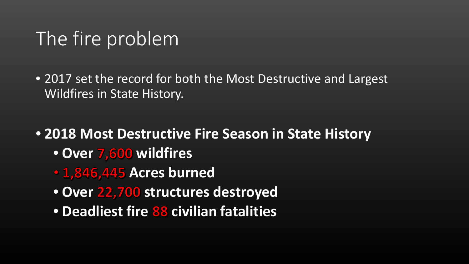# The fire problem

- 2017 set the record for both the Most Destructive and Largest Wildfires in State History.
- **2018 Most Destructive Fire Season in State History**
	- Over 7,600 wildfires
	- **1,846,445 Acres burned**
	- Over 22,700 structures destroyed
	- **Deadliest fire 88 civilian fatalities**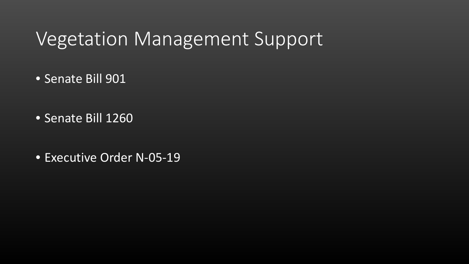#### Vegetation Management Support

- Senate Bill 901
- Senate Bill 1260
- Executive Order N-05-19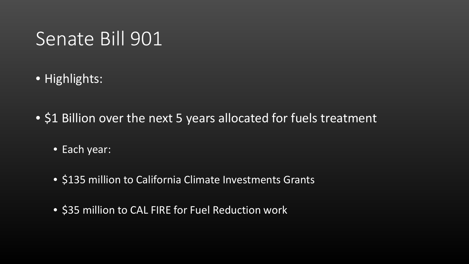## Senate Bill 901

- Highlights:
- \$1 Billion over the next 5 years allocated for fuels treatment
	- **Each year:**
	- \$135 million to California Climate Investments Grants
	- \$35 million to CAL FIRE for Fuel Reduction work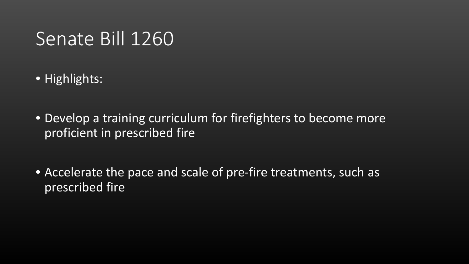### Senate Bill 1260

- Highlights:
- Develop a training curriculum for firefighters to become more proficient in prescribed fire
- Accelerate the pace and scale of pre-fire treatments, such as prescribed fire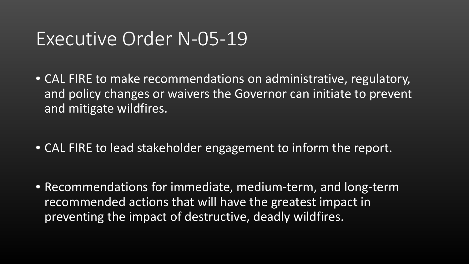#### Executive Order N-05-19

- CAL FIRE to make recommendations on administrative, regulatory, and policy changes or waivers the Governor can initiate to prevent and mitigate wildfires.
- CAL FIRE to lead stakeholder engagement to inform the report.
- Recommendations for immediate, medium-term, and long-term recommended actions that will have the greatest impact in preventing the impact of destructive, deadly wildfires.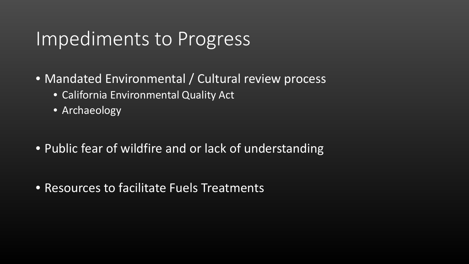#### Impediments to Progress

- Mandated Environmental / Cultural review process
	- California Environmental Quality Act
	- Archaeology
- Public fear of wildfire and or lack of understanding
- Resources to facilitate Fuels Treatments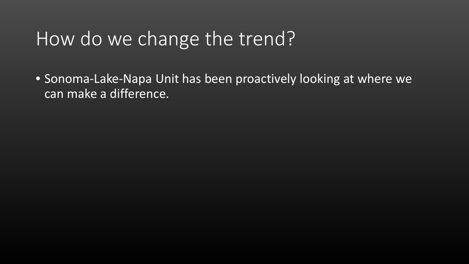# How do we change the trend?

• Sonoma-Lake-Napa Unit has been proactively looking at where we can make a difference.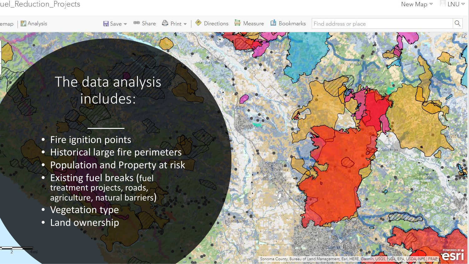**Analysis** emap

Forestville

#### The data analysis includes:

- Fire ignition points
- Historical large fire perimeters
- Population and Property at risk
- Existing fuel breaks (fuel treatment projects, roads, agriculture, natural barriers)
- Vegetation type
- Land ownership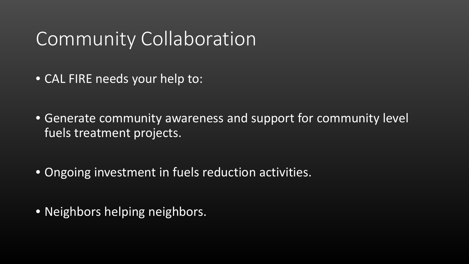## Community Collaboration

- CAL FIRE needs your help to:
- Generate community awareness and support for community level fuels treatment projects.
- Ongoing investment in fuels reduction activities.
- Neighbors helping neighbors.